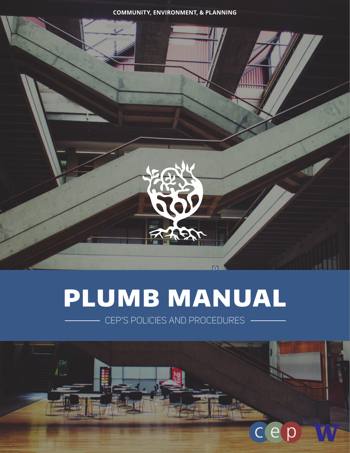**COMMUNITY, ENVIRONMENT, & PLANNING**



# PLUMB MANUAL

CEP'S POLICIES AND PROCEDURES

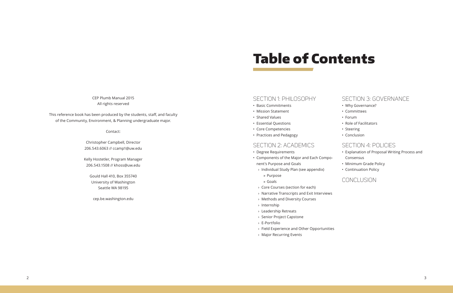## Table of Contents

CEP Plumb Manual 2015 All rights reserved

This reference book has been produced by the students, staff, and faculty of the Community, Environment, & Planning undergraduate major.

Contact:

Christopher Campbell, Director 206.543.6063 // ccamp1@uw.edu

Kelly Hostetler, Program Manager 206.543.1508 // khoss@uw.edu

Gould Hall 410, Box 355740 University of Washington Seattle WA 98195

cep.be.washington.edu

## SECTION 1: PHILOSOPHY

- Basic Commitments
- Mission Statement
- Shared Values
- Essential Questions
- Core Competencies
- Practices and Pedagogy

## SECTION 2: ACADEMICS

- Degree Requirements
- Components of the Major and Each Component's Purpose and Goals
- › Individual Study Plan (see appendix)
	- » Purpose
	- » Goals
- › Core Courses (section for each)
- › Narrative Transcripts and Exit Interviews
- › Methods and Diversity Courses
- › Internship
- › Leadership Retreats
- › Senior Project Capstone
- › E-Portfolio
- › Field Experience and Other Opportunities
- › Major Recurring Events

## SECTION 3: GOVERNANCE

- Why Governance?
- Committees
- Forum
- Role of Facilitators
- Steering
- Conclusion

## SECTION 4: POLICIES

- Explanation of Proposal Writing Process and Consensus
- Minimum Grade Policy
- Continuation Policy

## CONCLUSION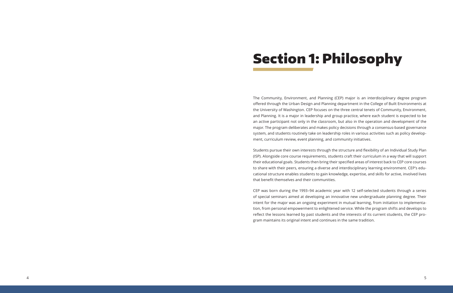# Section 1: Philosophy

The Community, Environment, and Planning (CEP) major is an interdisciplinary degree program offered through the Urban Design and Planning department in the College of Built Environments at the University of Washington. CEP focuses on the three central tenets of Community, Environment, and Planning. It is a major in leadership and group practice, where each student is expected to be an active participant not only in the classroom, but also in the operation and development of the major. The program deliberates and makes policy decisions through a consensus-based governance system, and students routinely take on leadership roles in various activities such as policy development, curriculum review, event planning, and community initiatives.

Students pursue their own interests through the structure and flexibility of an Individual Study Plan (ISP). Alongside core course requirements, students craft their curriculum in a way that will support their educational goals. Students then bring their specified areas of interest back to CEP core courses to share with their peers, ensuring a diverse and interdisciplinary learning environment. CEP's educational structure enables students to gain knowledge, expertise, and skills for active, involved lives that benefit themselves and their communities.

CEP was born during the 1993–94 academic year with 12 self-selected students through a series of special seminars aimed at developing an innovative new undergraduate planning degree. Their intent for the major was an ongoing experiment in mutual learning, from initiation to implementation, from personal empowerment to enlightened service. While the program shifts and develops to reflect the lessons learned by past students and the interests of its current students, the CEP program maintains its original intent and continues in the same tradition.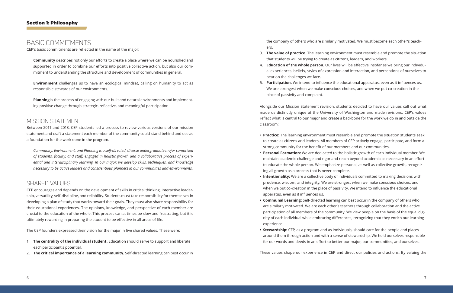## BASIC COMMITMENTS

CEP's basic commitments are reflected in the name of the major:

**Community** describes not only our efforts to create a place where we can be nourished and supported in order to combine our efforts into positive collective action, but also our commitment to understanding the structure and development of communities in general.

**Environment** challenges us to have an ecological mindset, calling on humanity to act as responsible stewards of our environments.

**Planning** is the process of engaging with our built and natural environments and implementing positive change through strategic, reflective, and meaningful participation

## MISSION STATEMENT

Between 2011 and 2013, CEP students led a process to review various versions of our mission statement and craft a statement each member of the community could stand behind and use as a foundation for the work done in the program.

*Community, Environment, and Planning is a self-directed, diverse undergraduate major comprised of students, faculty, and staff, engaged in holistic growth and a collaborative process of experiential and interdisciplinary learning. In our major, we develop skills, techniques, and knowledge necessary to be active leaders and conscientious planners in our communities and environments.*

## SHARED VALUES

CEP encourages and depends on the development of skills in critical thinking, interactive leadership, versatility, self-discipline, and reliability. Students must take responsibility for themselves in developing a plan of study that works toward their goals. They must also share responsibility for their educational experiences. The opinions, knowledge, and perspective of each member are crucial to the education of the whole. This process can at times be slow and frustrating, but it is ultimately rewarding in preparing the student to be effective in all areas of life.

The CEP founders expressed their vision for the major in five shared values. These were:

- 1. **The centrality of the individual student.** Education should serve to support and liberate each participant's potential.
- 2. **The critical importance of a learning community.** Self-directed learning can best occur in

the company of others who are similarly motivated. We must become each other's teachers.

- 3. **The value of practice.** The learning environment must resemble and promote the situation that students will be trying to create as citizens, leaders, and workers.
- 4. **Education of the whole person.** Our lives will be effective insofar as we bring our individual experiences, beliefs, styles of expression and interaction, and perceptions of ourselves to bear on the challenges we face.
- place of passivity and complaint.

5. **Participation.** We intend to influence the educational apparatus, even as it influences us. We are strongest when we make conscious choices, and when we put co-creation in the

Alongside our Mission Statement revision, students decided to have our values call out what made us distinctly unique at the University of Washington and made revisions. CEP's values reflect what is central to our major and create a backbone for the work we do in and outside the classroom:

• **Practice:** The learning environment must resemble and promote the situation students seek to create as citizens and leaders. All members of CEP actively engage, participate, and form a

• **Personal Formation:** We are dedicated to the holistic growth of each individual member. We maintain academic challenge and rigor and reach beyond academia as necessary in an effort to educate the whole person. We emphasize personal, as well as collective growth, recogniz-

• **Intentionality:** We are a collective body of individuals committed to making decisions with prudence, wisdom, and integrity. We are strongest when we make conscious choices, and when we put co-creation in the place of passivity. We intend to influence the educational

- strong community for the benefit of our members and our communities.
- ing all growth as a process that is never complete.
- apparatus, even as it influences us.
- experience.
- 

**• Communal Learning:** Self-directed learning can best occur in the company of others who are similarly motivated. We are each other's teachers through collaboration and the active participation of all members of the community. We view people on the basis of the equal dignity of each individual while embracing differences, recognizing that they enrich our learning

**• Stewardship:** CEP, as a program and as individuals, should care for the people and places around them through action and with a sense of stewardship. We hold ourselves responsible for our words and deeds in an effort to better our major, our communities, and ourselves.

These values shape our experience in CEP and direct our policies and actions. By valuing the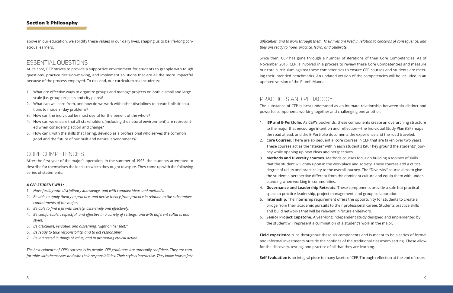## Section 1: Philosophy

above in our education, we solidify these values in our daily lives, shaping us to be life-long conscious learners.

## ESSENTIAL QUESTIONS

At its core, CEP strives to provide a supportive environment for students to grapple with tough questions, practice decision-making, and implement solutions that are all the more impactful because of the process employed. To this end, our curriculum asks students:

- 1. What are effective ways to organize groups and manage projects on both a small and large scale (i.e. group projects and city plans)?
- 2. What can we learn from, and how do we work with other disciplines to create holistic solutions to modern-day problems?
- 3. How can the individual be most useful for the benefit of the whole?
- 4. How can we ensure that all stakeholders (including the natural environment) are represented when considering action and change?
- 5. How can I, with the skills that I bring, develop as a professional who serves the common good and the future of our built and natural environments?

## CORE COMPETENCIES

After the first year of the major's operation, in the summer of 1995, the students attempted to describe for themselves the ideals to which they ought to aspire. They came up with the following series of statements.

#### *A CEP STUDENT WILL:*

- 1. *Have facility with disciplinary knowledge, and with complex ideas and methods;*
- 2. *Be able to apply theory to practice, and derive theory from practice in relation to the substantive commitments of the major;*
- 3. *Be able to find a fit with society, assertively and effectively;*
- 4. *Be comfortable, respectful, and effective in a variety of settings, and with different cultures and styles;*
- 5. *Be articulate, versatile, and discerning, "light on her feet;"*
- 6. *Be ready to take responsibility, and to act responsibly;*
- 7. *Be interested in things of value, and in promoting ethical action.*

*The best evidence of CEP's success is its people. CEP graduates are unusually confident. They are comfortable with themselves and with their responsibilities. Their style is interactive. They know how to face* 

## *difficulties, and to work through them. Their lives are lived in relation to concerns of consequence, and*

*they are ready to hope, practice, learn, and celebrate.*

Since then, CEP has gone through a number of iterations of their Core Competencies. As of November 2015, CEP is involved in a process to review these Core Competencies and measure our core curriculum against these competencies to ensure CEP courses and students are meeting their intended benchmarks. An updated version of the competencies will be included in an updated version of the Plumb Manual.

## PRACTICES AND PEDAGOGY

The substance of CEP is best understood as an intimate relationship between six distinct and powerful components working together and challenging one another.

1. **ISP and E-Portfolio.** As CEP's bookends, these components create an overarching structure to the major that encourage intention and reflection—the Individual Study Plan (ISP) maps the road ahead, and the E-Portfolio documents the experience and the road traveled. 2. **Core Courses.** There are six sequential core courses in CEP that are taken over two years. These courses act as the "stakes" within each student's ISP. They ground the students' jour-

3. **Methods and Diversity courses.** Methods courses focus on building a toolbox of skills that the student will draw upon in the workplace and society. These courses add a critical degree of utility and practicality to the overall journey. The "Diversity" course aims to give the student a perspective different from the dominant culture and equip them with under-

4. **Governance and Leadership Retreats.** These components provide a safe but practical

- 
- ney while opening up new ideas and perspectives.
- standing when working in communities.
- space to practice leadership, project management, and group collaboration.
- and build networks that will be relevant in future endeavors.
- the student will represent a culmination of a student's work in the major.

5. **Internship.** The internship requirement offers the opportunity for students to create a bridge from their academic pursuits to their professional career. Students practice skills

6. **Senior Project Capstone.** A year-long independent study designed and implemented by

**Field experience** runs throughout these six components and is meant to be a series of formal and informal investments outside the confines of the traditional classroom setting. These allow for the discovery, testing, and practice of all that they are learning.

**Self Evaluation** is an integral piece to many facets of CEP. Through reflection at the end of cours-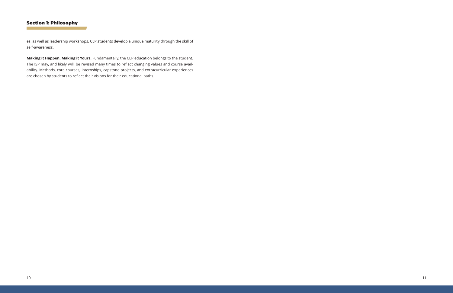## Section 1: Philosophy

es, as well as leadership workshops, CEP students develop a unique maturity through the skill of self-awareness.

**Making it Happen, Making it Yours.** Fundamentally, the CEP education belongs to the student. The ISP may, and likely will, be revised many times to reflect changing values and course availability. Methods, core courses, internships, capstone projects, and extracurricular experiences are chosen by students to reflect their visions for their educational paths.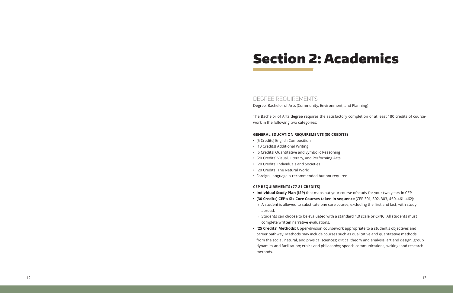## DEGREE REQUIREMENTS

Degree: Bachelor of Arts (Community, Environment, and Planning)

The Bachelor of Arts degree requires the satisfactory completion of at least 180 credits of course work in the following two categories:

#### **GENERAL EDUCATION REQUIREMENTS (80 CREDITS)**

**• Individual Study Plan (ISP)** that maps out your course of study for your two years in CEP. **• [30 Credits] CEP's Six Core Courses taken in sequence** (CEP 301, 302, 303, 460, 461, 462): > A student is allowed to substitute one core course, excluding the first and last, with study

- [5 Credits] English Composition [10 Credits] Additional Writing
- 
- [5 Credits] Quantitative and Symbolic Reasoning [20 Credits] Visual, Literary, and Performing Arts
- 
- [20 Credits] Individuals and Societies
- 
- [20 Credits] The Natural World Foreign Language is recommended but not required

#### **CEP REQUIREMENTS (77-81 CREDITS)**

› Students can choose to be evaluated with a standard 4.0 scale or C/NC. All students must

- 
- - abroad.
- complete written narrative evaluations.
- methods.

**• [25 Credits] Methods:** Upper-division coursework appropriate to a student's objectives and career pathway. Methods may include courses such as qualitative and quantitative methods from the social, natural, and physical sciences; critical theory and analysis; art and design; group dynamics and facilitation; ethics and philosophy; speech communications; writing; and research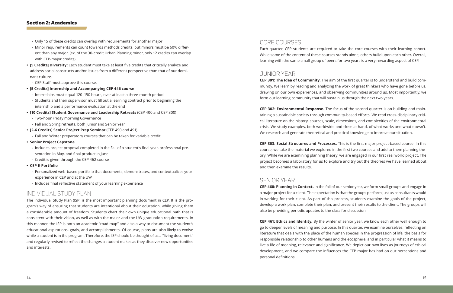- $\rightarrow$  Only 15 of these credits can overlap with requirements for another major
- › Minor requirements can count towards methods credits, but minors must be 60% different than any major. (ex. of the 30-credit Urban Planning minor, only 12 credits can overlap with CEP-major credits)
- **• [5 Credits] Diversity:** Each student must take at least five credits that critically analyze and address social constructs and/or issues from a different perspective than that of our dominant culture.
- $\rightarrow$  CEP Staff must approve this course.
- **• [5 Credits] Internship and Accompanying CEP 446 course**
- › Internships must equal 120–150 hours, over at least a three-month period
- $\rightarrow$  Students and their supervisor must fill out a learning contract prior to beginning the internship and a performance evaluation at the end
- **• [10 Credits] Student Governance and Leadership Retreats** (CEP 400 and CEP 300)
- › Two-hour Friday morning Governance
- › Fall and Spring retreats, both Junior and Senior Year
- **• [2-6 Credits] Senior Project Prep Seminar** (CEP 490 and 491)
- $\rightarrow$  Fall and Winter preparatory courses that can be taken for variable credit
- **• Senior Project Capstone**
- $\rightarrow$  Includes project proposal completed in the Fall of a student's final year, professional presentation in May, and final product in June
- › Credit is given through the CEP 462 course
- **• CEP E-Portfolio**
	- › Personalized web-based portfolio that documents, demonstrates, and contextualizes your experience in CEP and at the UW
- › Includes final reflective statement of your learning experience

## INDIVIDUAL STUDY PLAN

The Individual Study Plan (ISP) is the most important planning document in CEP. It is the program's way of ensuring that students are intentional about their education, while giving them a considerable amount of freedom. Students chart their own unique educational path that is consistent with their vision, as well as with the major and the UW graduation requirements. In this manner, the ISP is both an academic "road map" and also a way to document the student's educational aspirations, goals, and accomplishments. Of course, plans are also likely to evolve while a student is in the program. Therefore, the ISP should be thought of as a "living document" and regularly revised to reflect the changes a student makes as they discover new opportunities and interests.

## CORE COURSES

Each quarter, CEP students are required to take the core courses with their learning cohort. While some of the content of these courses stands alone, others build upon each other. Overall, learning with the same small group of peers for two years is a very rewarding aspect of CEP.

## JUNIOR YEAR

**CEP 301: The Idea of Community.** The aim of the first quarter is to understand and build community. We learn by reading and analyzing the work of great thinkers who have gone before us, drawing on our own experiences, and observing communities around us. Most importantly, we form our learning community that will sustain us through the next two years.

**CEP 302: Environmental Response.** The focus of the second quarter is on building and maintaining a sustainable society through community-based efforts. We read cross-disciplinary critical literature on the history, sources, scale, dimensions, and complexities of the environmental crisis. We study examples, both worldwide and close at hand, of what works and what doesn't. We research and generate theoretical and practical knowledge to improve our situation.

**CEP 303: Social Structures and Processes.** This is the first major project-based course. In this course, we take the material we explored in the first two courses and add to them planning theory. While we are examining planning theory, we are engaged in our first real world project. The project becomes a laboratory for us to explore and try out the theories we have learned about and then examine the results.

## SENIOR YEAR

**CEP 460: Planning in Context.** In the fall of our senior year, we form small groups and engage in a major project for a client. The expectation is that the groups perform just as consultants would in working for their client. As part of this process, students examine the goals of the project, develop a work plan, complete their plan, and present their results to the client. The groups will also be providing periodic updates to the class for discussion.

**CEP 461: Ethics and Identity.** By the winter of senior year, we know each other well enough to go to deeper levels of meaning and purpose. In this quarter, we examine ourselves, reflecting on literature that deals with the place of the human species in the progression of life, the basis for responsible relationship to other humans and the ecosphere, and in particular what it means to live a life of meaning, relevance and significance. We depict our own lives as journeys of ethical development, and we compare the influences the CEP major has had on our perceptions and

# personal definitions.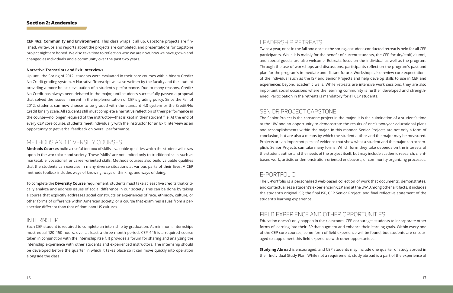**CEP 462: Community and Environment.** This class wraps it all up. Capstone projects are finished, write-ups and reports about the projects are completed, and presentations for Capstone project night are honed. We also take time to reflect on who we are now, how we have grown and changed as individuals and a community over the past two years.

#### **Narrative Transcripts and Exit Interviews**

Up until the Spring of 2012, students were evaluated in their core courses with a binary Credit/ No Credit grading system. A Narrative Transcript was also written by the faculty and the student providing a more holistic evaluation of a student's performance. Due to many reasons, Credit/ No Credit has always been debated in the major, until students successfully passed a proposal that solved the issues inherent in the implementation of CEP's grading policy. Since the Fall of 2012, students can now choose to be graded with the standard 4.0 system or the Credit/No Credit binary scale. All students still must complete a narrative reflection of their performance in the course—no longer required of the instructor—that is kept in their student file. At the end of every CEP core course, students meet individually with the instructor for an Exit Interview as an opportunity to get verbal feedback on overall performance.

## METHODS AND DIVERSITY COURSES

**Methods Courses** build a useful toolbox of skills—valuable qualities which the student will draw upon in the workplace and society. These "skills" are not limited only to traditional skills such as marketable, vocational, or career-oriented skills. Methods courses also build valuable qualities that the students can exercise in many diverse situations at various parts of their lives. A CEP methods toolbox includes ways of knowing, ways of thinking, and ways of doing.

To complete the **Diversity Course** requirement, students must take at least five credits that critically analyze and address issues of social difference in our society. This can be done by taking a course that explicitly addresses social constructs or experiences of race, ethnicity, culture, or other forms of difference within American society, or a course that examines issues from a perspective different than that of dominant US cultures.

## INTERNSHIP

Each CEP student is required to complete an internship by graduation. At minimum, internships must equal 120–150 hours, over at least a three-month period. CEP 446 is a required course taken in conjunction with the internship itself. It provides a forum for sharing and analyzing the internship experience with other students and experienced instructors. The internship should be developed before the quarter in which it takes place so it can move quickly into operation alongside the class.

## LEADERSHIP RETREATS

Twice a year, once in the fall and once in the spring, a student-conducted retreat is held for all CEP participants. While it is mainly for the benefit of current students, the CEP faculty/staff, alumni, and special guests are also welcome. Retreats focus on the individual as well as the program. Through the use of workshops and discussions, participants reflect on the program's past and plan for the program's immediate and distant future. Workshops also review core expectations of the individual such as the ISP and Senior Projects and help develop skills to use in CEP and experiences beyond academic walls. While retreats are intensive work sessions, they are also important social occasions where the learning community is further developed and strengthened. Participation in the retreats is mandatory for all CEP students.

## SENIOR PROJECT CAPSTONE

The Senior Project is the capstone project in the major. It is the culmination of a student's time at the UW and an opportunity to demonstrate the results of one's two-year educational plans and accomplishments within the major. In this manner, Senior Projects are not only a form of conclusion, but are also a means by which the student author and the major may be measured. Projects are an important piece of evidence that show what a student and the major can accomplish. Senior Projects can take many forms. Which form they take depends on the interests of the student author and the needs of the project itself, but may include academic research, clientbased work, artistic or demonstration-oriented endeavors, or community organizing processes.

## E-PORTFOLIO

The E-Portfolio is a personalized web-based collection of work that documents, demonstrates, and contextualizes a student's experience in CEP and at the UW. Among other artifacts, it includes the student's original ISP, the final ISP, CEP Senior Project, and final reflective statement of the student's learning experience.

## FIELD EXPERIENCE AND OTHER OPPORTUNITIES

Education doesn't only happen in the classroom. CEP encourages students to incorporate other forms of learning into their ISP that augment and enhance their learning goals. Within every one of the CEP core courses, some form of field experience will be found, but students are encouraged to supplement this field experience with other opportunities.

**Studying Abroad** is encouraged, and CEP students may include one quarter of study abroad in their Individual Study Plan. While not a requirement, study abroad is a part of the experience of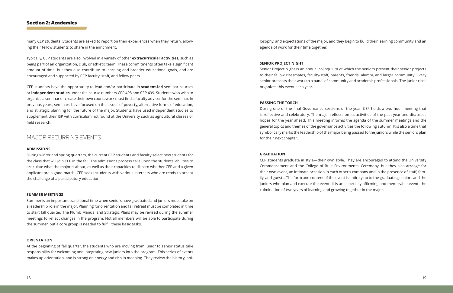many CEP students. Students are asked to report on their experiences when they return, allowing their fellow students to share in the enrichment.

Typically, CEP students are also involved in a variety of other **extracurricular activities**, such as being part of an organization, club, or athletic team. These commitments often take a significant amount of time, but they also contribute to learning and broader educational goals, and are encouraged and supported by CEP faculty, staff, and fellow peers.

CEP students have the opportunity to lead and/or participate in **student-led** seminar courses or **independent studies** under the course numbers CEP 498 and CEP 499. Students who wish to organize a seminar or create their own coursework must find a faculty adviser for the seminar. In previous years, seminars have focused on the issues of poverty, alternative forms of education, and strategic planning for the future of the major. Students have used independent studies to supplement their ISP with curriculum not found at the University such as agricultural classes or field research.

## MAJOR RECURRING EVENTS

#### **ADMISSIONS**

During winter and spring quarters, the current CEP students and faculty select new students for the class that will join CEP in the fall. The admissions process calls upon the students' abilities to articulate what the major is about, as well as their capacities to discern whether CEP and a given applicant are a good match. CEP seeks students with various interests who are ready to accept the challenge of a participatory education.

#### **SUMMER MEETINGS**

Summer is an important transitional time when seniors have graduated and juniors must take on a leadership role in the major. Planning for orientation and fall retreat must be completed in time to start fall quarter. The Plumb Manual and Strategic Plans may be revised during the summer meetings to reflect changes in the program. Not all members will be able to participate during the summer, but a core group is needed to fulfill these basic tasks.

#### **ORIENTATION**

At the beginning of fall quarter, the students who are moving from junior to senior status take responsibility for welcoming and integrating new juniors into the program. This series of events makes up orientation, and is strong on energy and rich in meaning. They review the history, philosophy, and expectations of the major, and they begin to build their learning community and an agenda of work for their time together.

#### **SENIOR PROJECT NIGHT**

Senior Project Night is an annual colloquium at which the seniors present their senior projects to their fellow classmates, faculty/staff, parents, friends, alumni, and larger community. Every senior presents their work to a panel of community and academic professionals. The junior class organizes this event each year.

#### **PASSING THE TORCH**

During one of the final Governance sessions of the year, CEP holds a two-hour meeting that is reflective and celebratory. The major reflects on its activities of the past year and discusses hopes for the year ahead. This meeting informs the agenda of the summer meetings and the general topics and themes of the governance activities the following autumn. It is also a time that symbolically marks the leadership of the major being passed to the juniors while the seniors plan for their next chapter.

#### **GRADUATION**

CEP students graduate in style—their own style. They are encouraged to attend the University Commencement and the College of Built Environments' Ceremony, but they also arrange for their own event, an intimate occasion in each other's company and in the presence of staff, family, and guests. The form and content of the event is entirely up to the graduating seniors and the juniors who plan and execute the event. It is an especially affirming and memorable event, the culmination of two years of learning and growing together in the major.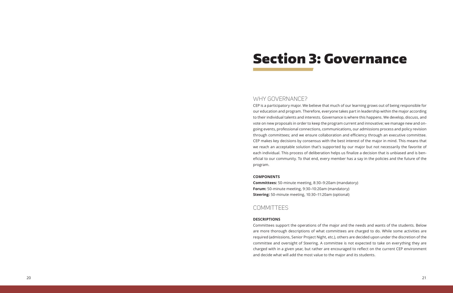## WHY GOVERNANCE?

CEP is a participatory major. We believe that much of our learning grows out of being responsible for our education and program. Therefore, everyone takes part in leadership within the major according to their individual talents and interests. Governance is where this happens. We develop, discuss, and vote on new proposals in order to keep the program current and innovative; we manage new and ongoing events, professional connections, communications, our admissions process and policy revision through committees; and we ensure collaboration and efficiency through an executive committee. CEP makes key decisions by consensus with the best interest of the major in mind. This means that we reach an acceptable solution that's supported by our major but not necessarily the favorite of each individual. This process of deliberation helps us finalize a decision that is unbiased and is ben eficial to our community. To that end, every member has a say in the policies and the future of the program.

#### **COMPONENTS**

**Committees:** 50-minute meeting, 8:30–9:20am (mandatory) **Forum:** 50-minute meeting, 9:30–10:20am (mandatory) **Steering:** 50-minute meeting, 10:30–11:20am (optional)

## COMMITTEES

#### **DESCRIPTIONS**

Committees support the operations of the major and the needs and wants of the students. Below are more thorough descriptions of what committees are charged to do. While some activities are required (admissions, Senior Project Night, etc.), others are decided upon under the discretion of the committee and oversight of Steering. A committee is not expected to take on everything they are charged with in a given year, but rather are encouraged to reflect on the current CEP environment and decide what will add the most value to the major and its students.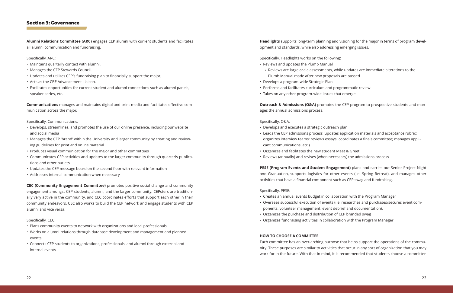$\rightarrow$  Reviews are large-scale assessments, while updates are immediate alterations to the

## Section 3: Governance

**Alumni Relations Committee (ARC)** engages CEP alumni with current students and facilitates all alumni communication and fundraising.

Specifically, ARC:

- Maintains quarterly contact with alumni.
- Manages the CEP Stewards Council.
- Updates and utilizes CEP's fundraising plan to financially support the major.
- Acts as the CBE Advancement Liaison.
- Facilitates opportunities for current student and alumni connections such as alumni panels, speaker series, etc.

**Communications** manages and maintains digital and print media and facilitates effective communication across the major.

Specifically, Communications:

- Develops, streamlines, and promotes the use of our online presence, including our website and social media
- Manages the CEP 'brand' within the University and larger community by creating and reviewing guidelines for print and online material
- Produces visual communication for the major and other committees
- Communicates CEP activities and updates to the larger community through quarterly publications and other outlets
- Updates the CEP message board on the second floor with relevant information
- Addresses internal communication when necessary

**Outreach & Admissions (O&A)** promotes the CEP program to prospective students and manages the annual admissions process.

**CEC (Community Engagement Committee)** promotes positive social change and community engagement amongst CEP students, alumni, and the larger community. CEPsters are traditionally very active in the community, and CEC coordinates efforts that support each other in their community endeavors. CEC also works to build the CEP network and engage students with CEP alumni and vice versa.

Specifically, CEC:

- Plans community events to network with organizations and local professionals
- Works on alumni relations through database development and management and planned events
- Connects CEP students to organizations, professionals, and alumni through external and internal events

**Headlights** supports long-term planning and visioning for the major in terms of program development and standards, while also addressing emerging issues.

Specifically, Headlights works on the following:

- Reviews and updates the Plumb Manual
- Plumb Manual made after new proposals are passed
- Develops a program-wide Strategic Plan
- Performs and facilitates curriculum and programmatic review
- Takes on any other program-wide issues that emerge

Specifically, O&A:

• Leads the CEP admissions process (updates application materials and acceptance rubric; organizes interview teams; reviews essays; coordinates a finals committee; manages appli-

- Develops and executes a strategic outreach plan
- cant communications, etc.)
- Organizes and facilitates the new student Meet & Greet
- Reviews (annually) and revises (when necessary) the admissions process

**PESE (Program Events and Student Engagement)** plans and carries out Senior Project Night and Graduation, supports logistics for other events (i.e. Spring Retreat), and manages other activities that have a financial component such as CEP swag and fundraising.

Specifically, PESE:

• Oversees successful execution of events (i.e. researches and purchases/secures event com-

- Creates an annual events budget in collaboration with the Program Manager
- ponents, volunteer management, event debrief and documentation).
- Organizes the purchase and distribution of CEP branded swag
- Organizes fundraising activities in collaboration with the Program Manager

#### **HOW TO CHOOSE A COMMITTEE**

Each committee has an over-arching purpose that helps support the operations of the community. These purposes are similar to activities that occur in any sort of organization that you may work for in the future. With that in mind, it is recommended that students choose a committee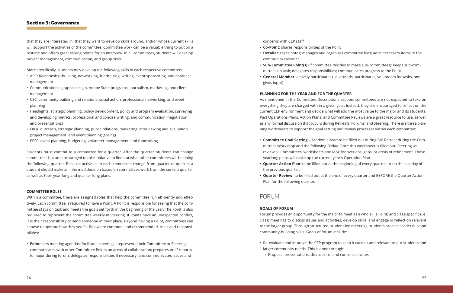that they are interested in, that they want to develop skills around, and/or whose current skills will support the activities of the committee. Committee work can be a valuable thing to put on a resume and offers great talking points for an interview. In all committees, students will develop project management, communication, and group skills.

More specifically, students may develop the following skills in each respective committee:

- ARC: Relationship-building, networking, fundraising, writing, event sponsoring, and database management
- Communications: graphic design, Adobe Suite programs, journalism, marketing, and client management
- CEC: community building and relations, social action, professional networking, and event planning
- Headlights: strategic planning, policy development, policy and program evaluation, surveying and developing metrics, professional and concise writing, and communication (negotiation and presentations)
- O&A: outreach, strategic planning, public relations, marketing, interviewing and evaluation, project management, and event planning (spring)
- PESE: event planning, budgeting, volunteer management, and fundraising

Within a committee, there are assigned roles that help the committee run efficiently and effectively. Each committee is required to have a Point. A Point is responsible for seeing that the committee stays on task and meets the goals set forth in the beginning of the year. The Point is also required to represent the committee weekly in Steering. If Points have an unexpected conflict, it is their responsibility to send someone in their place. Beyond having a Point, committees can choose to operate how they see fit. Below are common, and recommended, roles and responsibilities:

Students must commit to a committee for a quarter. After the quarter, students can change committees but are encouraged to take initiative to find out what other committees will be doing the following quarter. Because activities in each committee change from quarter to quarter, a student should make an informed decision based on committees work from the current quarter as well as their year-long and quarter-long plans.

#### **COMMITTEE ROLES**

• **Point**: sets meeting agendas; facilitates meetings; represents their Committee at Steering; communicates with other Committee Points on areas of collaboration; prepares brief reports to major during forum; delegates responsibilities if necessary; and communicates issues and concerns with CEP staff

• **Detailer**: takes notes; manages and organizes committee files; adds necessary items to the

- **Co-Point**: shares responsibilities of the Point
- community calendar
- mittees on task; delegates responsibilities; communicates progress to the Point
- gives input)

• **Sub-Committee Point(s)** (if committee decides to make sub-committees): keeps sub-com-• **General Member**: actively participates (i.e. attends, participates, volunteers for tasks, and

#### **PLANNING FOR THE YEAR AND FOR THE QUARTER**

As mentioned in the Committee Descriptions section, committees are not expected to take on everything they are charged with in a given year. Instead, they are encouraged to reflect on the current CEP environment and decide what will add the most value to the major and its students. Past Operations Plans, Action Plans, and Committee Reviews are a great resource to use, as well as any formal discussion that occurs during Retreats, Forums, and Steering. There are three planning worksheets to support the goal setting and review processes within each committee:

• **Committee Goal Setting**—Academic Year: to be filled out during Fall Retreat during the Committees Workshop and the following Friday. Once this worksheet is filled out, Steering will review all Committees' worksheets and look for overlaps, gaps, or areas of refinement. These

• **Quarter Action Plan**: to be filled out at the beginning of every quarter, or on the last day of

- yearlong plans will make up the current year's Operation Plan.
- the previous quarter.
- Plan for the following quarter.

• **Quarter Review**: to be filled out at the end of every quarter and BEFORE the Quarter Action

## FORUM

#### **GOALS OF FORUM**

Forum provides an opportunity for the major to meet as a whole (i.e. joint) and class-specific (i.e. class) meetings to discuss issues and activities, develop skills, and engage in reflection relevant to the larger group. Through structured, student-led meetings, students practice leadership and community-building skills. Goals of forum include:

• Re-evaluate and improve the CEP program to keep it current and relevant to our students and

- larger community needs. This is done through:
	- › Proposal presentations, discussions, and consensus votes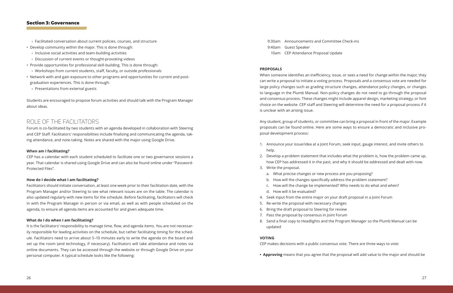- › Facilitated conversation about current policies, courses, and structure
- Develop community within the major. This is done through:
- $\rightarrow$  Inclusive social activities and team-building activities
- › Discussion of current events or thought-provoking videos
- Provide opportunities for professional skill-building. This is done through:
- › Workshops from current students, staff, faculty, or outside professionals
- Network with and gain exposure to other programs and opportunities for current and postgraduation experiences. This is done through:
- › Presentations from external guests

Students are encouraged to propose forum activities and should talk with the Program Manager about ideas.

## ROLE OF THE FACILITATORS

Forum is co-facilitated by two students with an agenda developed in collaboration with Steering and CEP Staff. Facilitators' responsibilities include finalizing and communicating the agenda, taking attendance, and note-taking. Notes are shared with the major using Google Drive.

#### **When am I facilitating?**

CEP has a calendar with each student scheduled to facilitate one or two governance sessions a year. That calendar is shared using Google Drive and can also be found online under "Password-Protected Files".

#### **How do I decide what I am facilitating?**

Facilitators should initiate conversation, at least one week prior to their facilitation date, with the Program Manager and/or Steering to see what relevant issues are on the table. The calendar is also updated regularly with new items for the schedule. Before facilitating, facilitators will check in with the Program Manager in person or via email, as well as with people scheduled on the agenda, to ensure all agenda items are accounted for and given adequate time.

#### **What do I do when I am facilitating?**

It is the facilitators' responsibility to manage time, flow, and agenda items. You are not necessarily responsible for leading activities on the schedule, but rather facilitating timing for the schedule. Facilitators need to arrive about 5–10 minutes early to write the agenda on the board and set up the room (and technology, if necessary). Facilitators will take attendance and notes via online documents. They can be accessed through the website or through Google Drive on your personal computer. A typical schedule looks like the following:

9:30am Announcements and Committee Check-ins 9:40am Guest Speaker 10am CEP Attendance Proposal Update

#### **PROPOSALS**

When someone identifies an inefficiency, issue, or sees a need for change within the major, they can write a proposal to initiate a voting process. Proposals and a consensus vote are needed for large policy changes such as grading structure changes, attendance policy changes, or changes to language in the Plumb Manual. Non-policy changes do not need to go through the proposal and consensus process. These changes might include apparel design, marketing strategy, or font choice on the website. CEP staff and Steering will determine the need for a proposal process if it is unclear with an arising issue.

Any student, group of students, or committee can bring a proposal in front of the major. Example proposals can be found online. Here are some ways to ensure a democratic and inclusive proposal development process:

1. Announce your issue/idea at a Joint Forum, seek input, gauge interest, and invite others to

2. Develop a problem statement that includes what the problem is, how the problem came up, how CEP has addressed it in the past, and why it should be addressed and dealt with now.

- help.
- 
- 3. Write the proposal.
	- a. What precise changes or new process are you proposing?
	- b. How will the changes specifically address the problem statement?
	- c. How will the change be implemented? Who needs to do what and when?
	- d. How will it be evaluated?
- 4. Seek input from the entire major on your draft proposal in a Joint Forum
- 5. Re-write the proposal with necessary changes
- 6. Bring the draft proposal to Steering for review
- 7. Pass the proposal by consensus in Joint Forum
- 8. Send a final copy to Headlights and the Program Manager so the Plumb Manual can be updated

#### **VOTING**

CEP makes decisions with a public consensus vote. There are three ways to vote:

**• Approving** means that you agree that the proposal will add value to the major and should be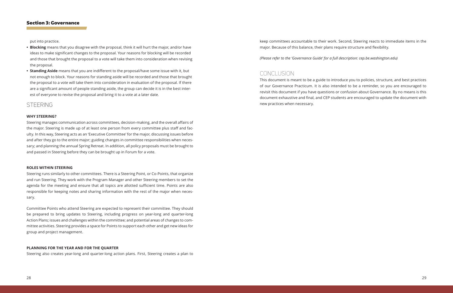put into practice.

- **• Blocking** means that you disagree with the proposal, think it will hurt the major, and/or have ideas to make significant changes to the proposal. Your reasons for blocking will be recorded and those that brought the proposal to a vote will take them into consideration when revising the proposal.
- **• Standing Aside** means that you are indifferent to the proposal/have some issue with it, but not enough to block. Your reasons for standing aside will be recorded and those that brought the proposal to a vote will take them into consideration in evaluation of the proposal. If there are a significant amount of people standing aside, the group can decide it is in the best interest of everyone to revise the proposal and bring it to a vote at a later date.

## STEERING

#### **WHY STEERING?**

Steering manages communication across committees, decision-making, and the overall affairs of the major. Steering is made up of at least one person from every committee plus staff and faculty. In this way, Steering acts as an 'Executive Committee' for the major, discussing issues before and after they go to the entire major; guiding changes in committee responsibilities when necessary; and planning the annual Spring Retreat. In addition, all policy proposals must be brought to and passed in Steering before they can be brought up in Forum for a vote.

#### **ROLES WITHIN STEERING**

Steering runs similarly to other committees. There is a Steering Point, or Co-Points, that organize and run Steering. They work with the Program Manager and other Steering members to set the agenda for the meeting and ensure that all topics are allotted sufficient time. Points are also responsible for keeping notes and sharing information with the rest of the major when necessary.

Committee Points who attend Steering are expected to represent their committee. They should be prepared to bring updates to Steering, including progress on year-long and quarter-long Action Plans; issues and challenges within the committee; and potential areas of changes to committee activities. Steering provides a space for Points to support each other and get new ideas for group and project management.

#### **PLANNING FOR THE YEAR AND FOR THE QUARTER**

Steering also creates year-long and quarter-long action plans. First, Steering creates a plan to

keep committees accountable to their work. Second, Steering reacts to immediate items in the major. Because of this balance, their plans require structure and flexibility.

*(Please refer to the 'Governance Guide' for a full description: cep.be.washington.edu)*

## CONCLUSION

This document is meant to be a guide to introduce you to policies, structure, and best practices of our Governance Practicum. It is also intended to be a reminder, so you are encouraged to revisit this document if you have questions or confusion about Governance. By no means is this document exhaustive and final, and CEP students are encouraged to update the document with new practices when necessary.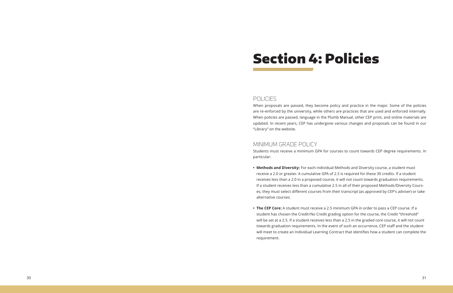# Section 4: Policies

## POLICIES

When proposals are passed, they become policy and practice in the major. Some of the policies are re-enforced by the university, while others are practices that are used and enforced internally. When policies are passed, language in the Plumb Manual, other CEP print, and online materials are updated. In recent years, CEP has undergone various changes and proposals can be found in our "Library" on the website.

## MINIMUM GRADE POLICY

Students must receive a minimum GPA for courses to count towards CEP degree requirements. In particular:

**• Methods and Diversity:** For each individual Methods and Diversity course, a student must receive a 2.0 or greater. A cumulative GPA of 2.5 is required for these 30 credits. If a student receives less than a 2.0 in a proposed course, it will not count towards graduation requirements. If a student receives less than a cumulative 2.5 in all of their proposed Methods/Diversity Courses, they must select different courses from their transcript (as approved by CEP's adviser) or take

- alternative courses.
- requirement.

**• The CEP Core:** A student must receive a 2.5 minimum GPA in order to pass a CEP course. If a student has chosen the Credit/No Credit grading option for the course, the Credit "threshold" will be set at a 2.5. If a student receives less than a 2.5 in the graded core course, it will not count towards graduation requirements. In the event of such an occurrence, CEP staff and the student will meet to create an Individual Learning Contract that identifies how a student can complete the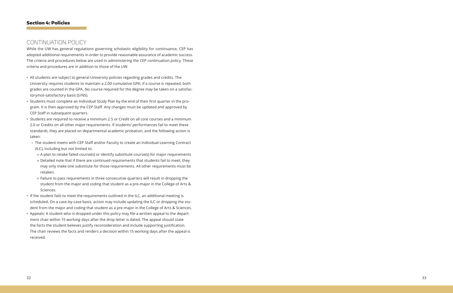## CONTINUATION POLICY

While the UW has general regulations governing scholastic eligibility for continuance, CEP has adopted additional requirements in order to provide reasonable assurance of academic success. The criteria and procedures below are used in administering the CEP continuation policy. These criteria and procedures are in addition to those of the UW.

- All students are subject to general University policies regarding grades and credits. The University requires students to maintain a 2.00 cumulative GPA; if a course is repeated, both grades are counted in the GPA. No course required for the degree may be taken on a satisfac tory/not-satisfactory basis (S/NS).
- Students must complete an Individual Study Plan by the end of their first quarter in the pro gram. It is then approved by the CEP Staff. Any changes must be updated and approved by CEP Staff in subsequent quarters.
- Students are required to receive a minimum 2.5 or Credit on all core courses and a minimum 2.0 or Credits on all other major requirements. If students' performances fail to meet these standards, they are placed on departmental academic probation, and the following action is taken:
- › The student meets with CEP Staff and/or Faculty to create an Individual Learning Contract (ILC), including but not limited to:
	- » A plan to retake failed course(s) or identify substitute course(s) for major requirements
	- » Detailed note that if there are continued requirements that students fail to meet, they may only make one substitute for those requirements. All other requirements must be retaken.
	- » Failure to pass requirements in three consecutive quarters will result in dropping the student from the major and coding that student as a pre-major in the College of Arts & Sciences.
- If the student fails to meet the requirements outlined in the ILC, an additional meeting is scheduled. On a case-by-case basis, action may include updating the ILC or dropping the stu dent from the major and coding that student as a pre-major in the College of Arts & Sciences.
- Appeals: A student who is dropped under this policy may file a written appeal to the depart ment chair within 15 working days after the drop letter is dated. The appeal should state the facts the student believes justify reconsideration and include supporting justification. The chair reviews the facts and renders a decision within 15 working days after the appeal is received.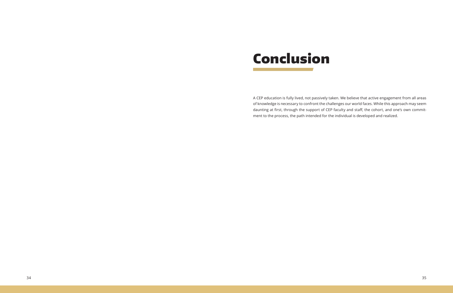

A CEP education is fully lived, not passively taken. We believe that active engagement from all areas of knowledge is necessary to confront the challenges our world faces. While this approach may seem daunting at first, through the support of CEP faculty and staff, the cohort, and one's own commitment to the process, the path intended for the individual is developed and realized.